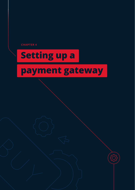<span id="page-0-0"></span>**CHAPTER 4**

# **Setting up a**

## **payment gateway**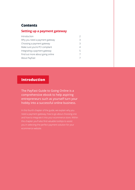## <span id="page-1-0"></span>**Contents**

#### **Setting up a payment gateway**

| Introduction                     | $\mathcal{P}$ |
|----------------------------------|---------------|
| Why you need a payment gateway   | 3             |
| Choosing a payment gateway       | 3             |
| Make sure you're PCI compliant   | 4             |
| Integrating a payment gateway    | 5             |
| Find out more about going online | 7             |
| About PayFast                    | 7             |

## **Introduction**

The PayFast Guide to Going Online is a comprehensive ebook to help aspiring entrepreneurs such as yourself turn your hobby into a successful online business.

In this fourth chapter of the guide, we explain why you need a payment gateway, how to go about choosing one and how to integrate it into your ecommerce store. Within this chapter you'll also find valuable tooltips to assist you in selecting the perfect payment solution for your ecommerce website.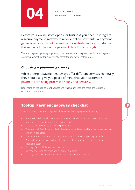<span id="page-2-0"></span>

## PAYMENT GATEWAY

Before your online store opens for business you need to integrate a secure payment gateway to receive online payments. A payment gateway acts as the link between your website and your customer through which the secure payment data flows through.

The term payment gateway is generally used as an overarching term that includes payment solution, payment platform, payment aggregator and payment facilitator.

## **Choosing a payment gateway**

While different payment gateways offer different services, generally they should all give you peace of mind that your customer's payments are being processed safely and securely.

Depending on the size of your business and what your needs are, there are a variety of options to choose from.

## **Tooltip: Payment gateway checklist**

Here are some important things to look for when choosing a payment gateway:

- **•** Are they PCI-DSS Level 1 Compliant, to ensure that all of your customers' credit card
- 
- **•** What are their fees, for example do they have monthly fees and/or a per transaction fee and any hidden fees?
- **•** What ecommerce platforms do they integrate with or have 3rd party plugins for?
- **•** What additional services do they offer, and are these free or do they come at an additional cost?
- **•** Do they offer multiple payment methods?
- **•** Do they offer local after-sale and customer support?
- **•** Do they have good reviews online by merchants and customers?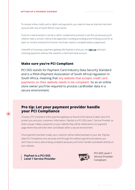<span id="page-3-0"></span>To receive online credit card or debit card payments, you need to have an internet merchant account with one of South Africa's main banks.

If you're a new business it can be a rather cumbersome process to set this up because you'll need to meet a certain criteria to be approved, including providing proof of being active for at least six months and proof of income. You'll also need to complete tedious paperwork.

A benefit of choosing a payment gateway like PayFast is that you can **[sign up](https://www.payfast.co.za/registration)** and start receiving payments without the need for a merchant bank account.

### **Make sure you're PCI Compliant**

PCI DSS stands for Payment Card Industry Data Security Standard and is a PASA (Payment Association of South Africa) regulation in South Africa, meaning that any website that accepts credit card payments on their website needs to be compliant. So as an online store owner you'll be required to process cardholder data in a secure environment.

## **Pro tip: Let your payment provider handle your PCI Compliance**

Choose a PCI Compliant online payment gateway so that all of the above is taken care of to protect you and your customers' information. PayFast is a PCI-DSS Level 1 Service Provider, so when a buyer makes a payment on your website they will be redirected to our payment page where they will enter their card details within a secure environment.

Once payment has been made, your customer will be redirected back to your site. PayFast takes PCI Compliance very seriously and through the redirect payment procedure, you don't have to worry about being compliant because you'll never handle card details directly on your website.

**PayFast is a PCI-DSS Level 1 Service Provider**



PCI-DSS Level 1 Service Provider Compliant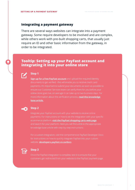#### <span id="page-4-0"></span>**Integrating a payment gateway**

There are several ways websites can integrate into a payment gateway. Some require developers to be involved and are complex, while others work with pre-built shopping carts, that usually just require an ID and other basic information from the gateway, in order to be integrated.

## **Tooltip: Setting up your PayFast account and integrating it into your online store**



#### **Step 1**

**[Sign up for a free PayFast account](https://www.payfast.co.za/registration)** and upload the required identity documents to get verified - this will enable you to receive credit card payments. It's important to submit your documents as soon as possible to online store goes live, on average it can take up to two business days. For [more information about the verification process,](https://support.payfast.co.za/portal/en/kb/articles/verify-a-business-account#How_do_I_verify_my_account) **read this knowledge base article.**

#### **Step 2**

Integrate your PayFast account with your website to receive online payments. For instructions on how to do the integration with your specific ecommerce platform, **[visit the PayFast shopping carts web page](https://www.payfast.co.za/integration/shopping-carts)** and search for your platform. Here you will find a link to the appropriate knowledge base article with step-by-step instructions.

For a custom integration, visit the comprehensive PayFast Developer Docs for instructions on how to quickly integrate PayFast into your custom website: **[developers.payfast.co.za/docs](https://developers.payfast.co.za/docs)**



#### **Step 3**

Once the PayFast integration is complete, test it to ensure that your customers get redirected from your website to the PayFast payment page.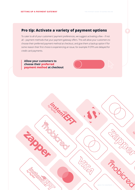## **Pro tip: Activate a variety of payment options**

To cater to all of your customers' payment preferences, we suggest activating a few – if not all – payment methods that your payment gateway offers. This will allow your customers to choose their preferred payment method at checkout, and give them a backup option if for some reason their first choice is experiencing an issue, for example if OTPs are delayed for credit card payments.

**Allow your customers to choose their preferred payment method at checkout**